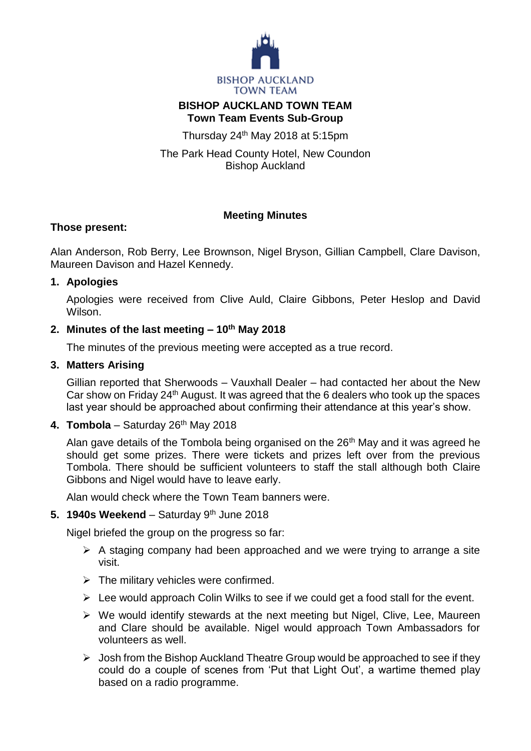

## **BISHOP AUCKLAND TOWN TEAM Town Team Events Sub-Group**

Thursday  $24<sup>th</sup>$  May 2018 at 5:15pm

The Park Head County Hotel, New Coundon Bishop Auckland

# **Meeting Minutes**

## **Those present:**

Alan Anderson, Rob Berry, Lee Brownson, Nigel Bryson, Gillian Campbell, Clare Davison, Maureen Davison and Hazel Kennedy.

#### **1. Apologies**

Apologies were received from Clive Auld, Claire Gibbons, Peter Heslop and David Wilson.

# **2. Minutes of the last meeting – 10th May 2018**

The minutes of the previous meeting were accepted as a true record.

#### **3. Matters Arising**

Gillian reported that Sherwoods – Vauxhall Dealer – had contacted her about the New Car show on Friday  $24<sup>th</sup>$  August. It was agreed that the 6 dealers who took up the spaces last year should be approached about confirming their attendance at this year's show.

## **4. Tombola** – Saturday 26th May 2018

Alan gave details of the Tombola being organised on the  $26<sup>th</sup>$  May and it was agreed he should get some prizes. There were tickets and prizes left over from the previous Tombola. There should be sufficient volunteers to staff the stall although both Claire Gibbons and Nigel would have to leave early.

Alan would check where the Town Team banners were.

## **5. 1940s Weekend** – Saturday 9th June 2018

Nigel briefed the group on the progress so far:

- $\triangleright$  A staging company had been approached and we were trying to arrange a site visit.
- $\triangleright$  The military vehicles were confirmed.
- $\triangleright$  Lee would approach Colin Wilks to see if we could get a food stall for the event.
- $\triangleright$  We would identify stewards at the next meeting but Nigel, Clive, Lee, Maureen and Clare should be available. Nigel would approach Town Ambassadors for volunteers as well.
- $\triangleright$  Josh from the Bishop Auckland Theatre Group would be approached to see if they could do a couple of scenes from 'Put that Light Out', a wartime themed play based on a radio programme.